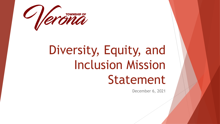

# Diversity, Equity, and Inclusion Mission Statement

December 6, 2021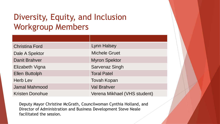# Diversity, Equity, and Inclusion Workgroup Members

| <b>Christina Ford</b>  | <b>Lynn Halsey</b>           |
|------------------------|------------------------------|
| Dale A Spektor         | <b>Michele Gruet</b>         |
| <b>Danit Brahver</b>   | <b>Myron Spektor</b>         |
| Elizabeth Vigna        | <b>Sarvenaz Singh</b>        |
| <b>Ellen Buttolph</b>  | <b>Toral Patel</b>           |
| <b>Herb Lev</b>        | <b>Tovah Kopan</b>           |
| <b>Jamal Mahmood</b>   | <b>Val Brahver</b>           |
| <b>Kristen Donohue</b> | Verena Mikhael (VHS student) |

Deputy Mayor Christine McGrath, Councilwoman Cynthia Holland, and Director of Administration and Business Development Steve Neale facilitated the session.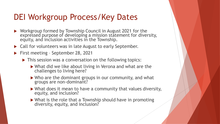## DEI Workgroup Process/Key Dates

- ▶ Workgroup formed by Township Council in August 2021 for the expressed purpose of developing a mission statement for diversity, equity, and inclusion activities in the Township.
- ▶ Call for volunteers was in late August to early September.
- **First meeting September 28, 2021** 
	- $\blacktriangleright$  This session was a conversation on the following topics:
		- ▶ What did we like about living in Verona and what are the challenges to living here?
		- ▶ Who are the dominant groups in our community, and what groups are non-dominant?
		- What does it mean to have a community that values diversity, equity, and inclusion?
		- ▶ What is the role that a Township should have in promoting diversity, equity, and inclusion?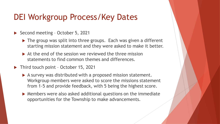## DEI Workgroup Process/Key Dates

- ▶ Second meeting October 5, 2021
	- ▶ The group was split into three groups. Each was given a different starting mission statement and they were asked to make it better.
	- $\triangleright$  At the end of the session we reviewed the three mission statements to find common themes and differences.
- ▶ Third touch point October 15, 2021
	- A survey was distributed with a proposed mission statement. Workgroup members were asked to score the missions statement from 1-5 and provide feedback, with 5 being the highest score.
	- Members were also asked additional questions on the immediate opportunities for the Township to make advancements.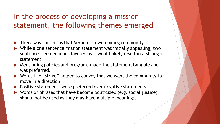#### In the process of developing a mission statement, the following themes emerged

- **There was consensus that Verona is a welcoming community.**
- ▶ While a one sentence mission statement was initially appealing, two sentences seemed more favored as it would likely result in a stronger statement.
- Mentioning policies and programs made the statement tangible and was preferred.
- ▶ Words like "strive" helped to convey that we want the community to move in a direction.
- ▶ Positive statements were preferred over negative statements.
- ▶ Words or phrases that have become politicized (e.g. social justice) should not be used as they may have multiple meanings.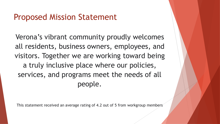## Proposed Mission Statement

Verona's vibrant community proudly welcomes all residents, business owners, employees, and visitors. Together we are working toward being a truly inclusive place where our policies, services, and programs meet the needs of all people.

This statement received an average rating of 4.2 out of 5 from workgroup members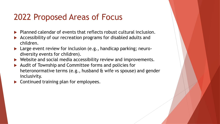# 2022 Proposed Areas of Focus

- $\blacktriangleright$  Planned calendar of events that reflects robust cultural inclusion.
- Accessibility of our recreation programs for disabled adults and children.
- ▶ Large event review for inclusion (e.g., handicap parking; neurodiversity events for children).
- Website and social media accessibility review and improvements.
- Audit of Township and Committee forms and policies for heteronormative terms (e.g., husband & wife vs spouse) and gender inclusivity.
- Continued training plan for employees.